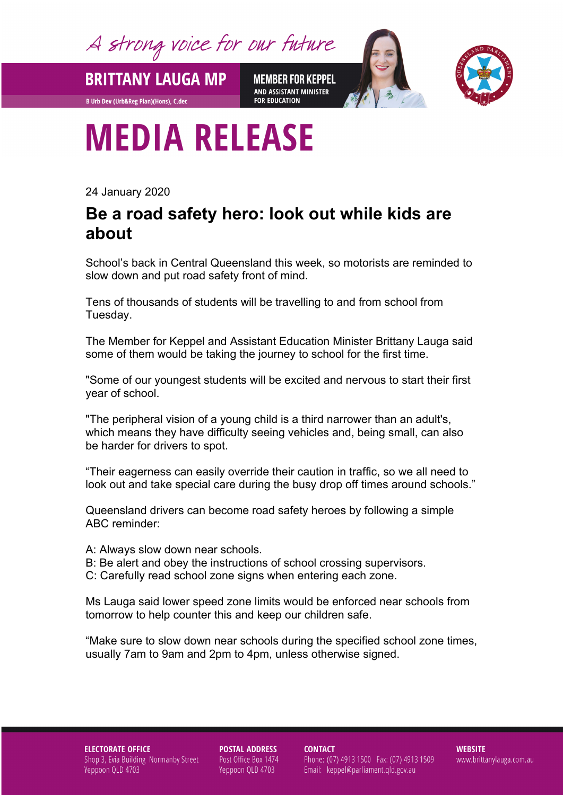A strong voice for our future

**BRITTANY LAUGA MP** 

**B Urb Dev (Urb&Reg Plan)(Hons), C.dec** 

**MEMBER FOR KEPPEL** AND ASSISTANT MINISTER **FOR EDUCATION** 



## **MEDIA RELEASE**

24 January 2020

## **Be a road safety hero: look out while kids are about**

School's back in Central Queensland this week, so motorists are reminded to slow down and put road safety front of mind.

Tens of thousands of students will be travelling to and from school from Tuesday.

The Member for Keppel and Assistant Education Minister Brittany Lauga said some of them would be taking the journey to school for the first time.

"Some of our youngest students will be excited and nervous to start their first year of school.

"The peripheral vision of a young child is a third narrower than an adult's, which means they have difficulty seeing vehicles and, being small, can also be harder for drivers to spot.

"Their eagerness can easily override their caution in traffic, so we all need to look out and take special care during the busy drop off times around schools."

Queensland drivers can become road safety heroes by following a simple ABC reminder:

A: Always slow down near schools.

- B: Be alert and obey the instructions of school crossing supervisors.
- C: Carefully read school zone signs when entering each zone.

Ms Lauga said lower speed zone limits would be enforced near schools from tomorrow to help counter this and keep our children safe.

"Make sure to slow down near schools during the specified school zone times, usually 7am to 9am and 2pm to 4pm, unless otherwise signed.

**ELECTORATE OFFICE** Shop 3, Evia Building Normanby Street Yeppoon QLD 4703

**POSTAL ADDRESS** Post Office Box 1474 Yeppoon QLD 4703

**CONTACT** Phone: (07) 4913 1500 Fax: (07) 4913 1509 Email: keppel@parliament.qld.gov.au

**WEBSITE** www.brittanylauga.com.au